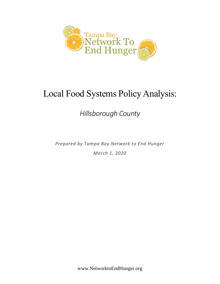

# Local Food Systems Policy Analysis:

*Hillsborough County*

*Prepared by Tampa Bay Network to End Hunger March 1, 2020*

www.NetworktoEndHunger.org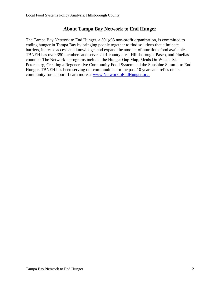# **About Tampa Bay Network to End Hunger**

The Tampa Bay Network to End Hunger, a 501(c)3 non-profit organization, is committed to ending hunger in Tampa Bay by bringing people together to find solutions that eliminate barriers, increase access and knowledge, and expand the amount of nutritious food available. TBNEH has over 350 members and serves a tri-county area, Hillsborough, Pasco, and Pinellas counties. The Network's programs include: the Hunger Gap Map, Meals On Wheels St. Petersburg, Creating a Regenerative Community Food System and the Sunshine Summit to End Hunger. TBNEH has been serving our communities for the past 10 years and relies on its community for support. Learn more at [www.NetworktoEndHunger.org.](http://www.networktoendhunger.org/)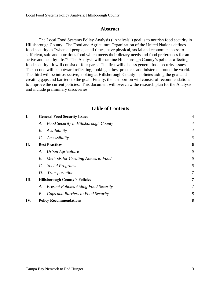## **Abstract**

The Local Food Systems Policy Analysis ("Analysis") goal is to nourish food security in Hillsborough County. The Food and Agriculture Organization of the United Nations defines food security as "when all people, at all times, have physical, social and economic access to sufficient, safe and nutritious food which meets their dietary needs and food preferences for an active and healthy life."<sup>1</sup> The Analysis will examine Hillsborough County's policies affecting food security. It will consist of four parts. The first will discuss general food security issues. The second will be outward reflecting, looking at best practices administered around the world. The third will be introspective, looking at Hillsborough County's policies aiding the goal and creating gaps and barriers to the goal. Finally, the last portion will consist of recommendations to improve the current policies. This document will overview the research plan for the Analysis and include preliminary discoveries.

## **Table of Contents**

| <b>General Food Security Issues</b>   |                                              | $\overline{\mathbf{4}}$ |
|---------------------------------------|----------------------------------------------|-------------------------|
| А.                                    | Food Security in Hillsborough County         | $\overline{4}$          |
| В.                                    | Availability                                 | $\overline{4}$          |
|                                       | Accessibility                                | 5                       |
| <b>Best Practices</b>                 |                                              | 6                       |
| A.                                    | Urban Agriculture                            | 6                       |
| В.                                    | Methods for Creating Access to Food          | 6                       |
| $\mathcal{C}$ .                       | Social Programs                              | 6                       |
| D.                                    | <i>Transportation</i>                        | 7                       |
| <b>Hillsborough County's Policies</b> |                                              | 7                       |
| A.                                    | <b>Present Policies Aiding Food Security</b> | 7                       |
| В.                                    | <b>Gaps and Barriers to Food Security</b>    | 8                       |
| IV.<br><b>Policy Recommendations</b>  |                                              | 8                       |
|                                       |                                              | $C_{\cdot}$             |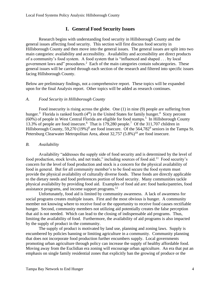# **I. General Food Security Issues**

<span id="page-3-0"></span>Research begins with understanding food security in Hillsborough County and the general issues affecting food security. This section will first discuss food security in Hillsborough County and then move into the general issues. The general issues are split into two main categories: availability and accessibility. Availability and accessibility are direct products of a community's food system. A food system that is "influenced and shaped . . . by local government laws and" procedures. $2$  Each of the main categories contain subcategories. These general issues will be carried through each section of the research and filtered into specific issues facing Hillsborough County.

Below are preliminary findings, not a comprehensive report. These topics will be expanded upon for the final Analysis report. Other topics will be added as research continues.

#### <span id="page-3-1"></span>*A. Food Security in Hillsborough County*

Food insecurity is rising across the globe. One (1) in nine (9) people are suffering from hunger.<sup>3</sup> Florida is ranked fourth  $(4<sup>th</sup>)$  in the United States for family hunger.<sup>4</sup> Sixty percent (60%) of people in West Central Florida are eligible for food stamps.<sup>5</sup> In Hillsborough County 13.3% of people are food insecure. <sup>6</sup> That is 179,280 people.<sup>7</sup> Of the 311,707 children in Hillsborough County, 59,270 (19%)<sup>8</sup> are food insecure. Of the 564,782<sup>9</sup> seniors in the Tampa St. Petersburg Clearwater Metropolitan Area, about 32,757 (5.8%)<sup>10</sup> are food insecure.

#### <span id="page-3-2"></span>*B. Availability*

Availability "addresses the supply side of food security and is determined by the level of food production, stock levels, and net trade," including sources of food aid.<sup>11</sup> Food security's concern for the level of food production and stock is a concern for the physical availability of food in general. But for all community member's to be food secure the food system must provide the physical availability of culturally diverse foods. These foods are directly applicable to the dietary needs and food preferences portion of food security. Many communities tackle physical availability by providing food aid. Examples of food aid are: food banks/pantries, food assistance programs, and income support programs.<sup>12</sup>

Unfortunately, food aid is limited by community awareness. A lack of awareness for social programs creates multiple issues. First and the most obvious is hunger. A community member not knowing where to receive food or the opportunity to receive food causes rectifiable hunger. Second, community members not utilizing aid potentially creates the false perception that aid is not needed. Which can lead to the closing of indispensable aid programs. Thus, limiting the availability of food. Furthermore, the availability of aid programs is also impacted by the supply of product in the community.

The supply of product is motivated by land use, planning and zoning laws. Supply is encumbered by policies banning or limiting agriculture in a community. Community planning that does not incorporate food production further encumbers supply. Local governments promoting urban agriculture through policy can increase the supply of healthy affordable food. Moving away from the Euclidian era zoning will encourage urban agriculture. An era that put an emphasis on single family residential zones that explicitly ban the growing of produce or the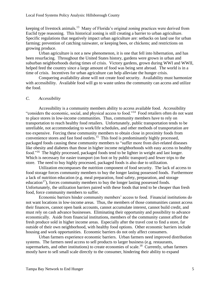keeping of livestock animals.<sup>13</sup> Many of Florida's original zoning practices were derived from Euclid type reasoning. This historical zoning is still creating a barrier to urban agriculture. Specific regulations that negatively impact urban agriculture are: setbacks on land use for urban farming; prevention of catching rainwater, or keeping bees, or chickens; and restrictions on growing produce.

Urban agriculture is not a new phenomenon, it is one that fell into hibernation, and has been resurfacing. Throughout the United States history, gardens were grown in urban and suburban neighborhoods during times of crisis. Victory gardens, grown during WWI and WWII, helped feed the country since a large amount of food was being sent abroad. The world is in a time of crisis. Incentives for urban agriculture can help alleviate the hunger crisis.

Conquering availability alone will not create food security. Availability must harmonize with accessibility. Available food will go to waste unless the community can access and utilize the food.

#### <span id="page-4-0"></span>*C. Accessibility*

Accessibility is a community members ability to access available food. Accessibility "considers the economic, social, and physical access to food."<sup>14</sup> Food retailers often do not want to place stores in low-income communities. Thus, community members have to rely on transportation to reach healthy food retailers. Unfortunately, public transportation tends to be unreliable, not accommodating to work/life schedules, and other methods of transportation are too expensive. Forcing these community members to obtain close in proximity foods from convenience stores and fast food outlets.<sup>15</sup> This food is predominantly highly processed, packaged foods causing these community members to "suffer more from diet-related diseases like obesity and diabetes than those in higher income neighborhoods with easy access to healthy food."<sup>16</sup> The highly processed, packaged foods tend to be lighter in weight and last longer. Which is necessary for easier transport (on foot or by public transport) and fewer trips to the store. The need to buy highly processed, packaged foods is also due to utilization.

Utilization encompasses the nutrition component of food security. The lack of access to food storage forces community members to buy the longer lasting possessed foods. Furthermore a lack of nutrition education (e.g. meal preparation, food safety, preparation, and storage education<sup>17</sup>), forces community members to buy the longer lasting possessed foods. Unfortunately, the utilization barriers paired with these foods that tend to be cheaper than fresh food, force community members to suffer.

Economic barriers hinder community members' access to food. Financial institutions do not want locations in low-income areas. Thus, the members of those communities cannot access their finances, cannot open bank accounts, cannot accumulate interest, cannot build credit, and must rely on cash advance businesses. Eliminating their opportunity and possibility to advance economically. Aside from financial institutions, members of the community cannot afford the fresh produce sold in higher income areas. Especially after the travel cost to find a store, far outside of their own neighborhood, with healthy food options. Other economic barriers include housing and work opportunities. Economic barriers do not only affect consumers.

Urban farmers experience economic barriers. Urban farmers need improved distribution systems. The farmers need access to sell products to larger business (e.g. restaurants, supermarkets, and other institutions) to create economies of scale.<sup>18</sup> Currently, urban farmers mostly have to sell small scale directly to the consumer, hindering their ability to expand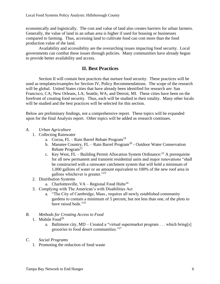economically and logistically. The cost and value of land also creates barriers for urban farmers. Generally, the value of land in an urban area is higher if used for housing or businesses compared to farming. Thus, accessing land to cultivate food can cost more than the food production value of the land.

Availability and accessibility are the overarching issues impacting food security. Local governments can combat these issues through policies. Many communities have already begun to provide better availability and access.

# **II. Best Practices**

<span id="page-5-0"></span>Section II will contain best practices that nurture food security. These practices will be used as templates/examples for Section IV, Policy Recommendations. The scope of the research will be global. United States cities that have already been identified for research are: San Francisco, CA; New Orleans, LA; Seattle, WA; and Detroit, MI. These cities have been on the forefront of creating food security. Thus, each will be studied in their totality. Many other locals will be studied and the best practices will be selected for this section.

Below are preliminary findings, not a comprehensive report. These topics will be expanded upon for the final Analysis report. Other topics will be added as research continues.

- <span id="page-5-1"></span>*A. Urban Agriculture*
	- 1. Collecting Rainwater
		- a. Cocoa, FL Rain Barrel Rebate Program<sup>19</sup>
		- b. Manatee Country,  $FL Rain$  Barrel Program<sup>20</sup> Outdoor Water Conservation Rebate Program<sup>21</sup>
		- c. Key West,  $FL Building$  Permit Allocation System Ordinance:<sup>22</sup> A prerequisite for all new permanent and transient residential units and major renovations "shall be constructed with a rainwater catchment system that will hold a minimum of 1,000 gallons of water or an amount equivalent to 100% of the new roof area in gallons whichever is greater."<sup>23</sup>
	- 2. Distribution Systems
		- a. Charlottesville,  $VA Regional Food Hubs<sup>24</sup>$
	- 3. Complying with The American's with Disabilities Act
		- a. "The City of Cambridge, Mass., requires all newly established community gardens to contain a minimum of 5 percent, but not less than one, of the plots to have raised beds."<sup>25</sup>

#### <span id="page-5-2"></span>*B. Methods for Creating Access to Food*

- 1. Mobile  $Food^{26}$ 
	- a. Baltimore city, MD Created a "virtual supermarket program . . . which bring[s] groceries to food desert communities."<sup>27</sup>

#### <span id="page-5-3"></span>*C. Social Programs*

1. Promoting the reduction of food waste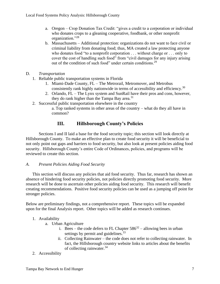- a. Oregon Crop Donation Tax Credit: "gives a credit to a corporation or individual who donates crops to a gleaning cooperative, foodbank, or other nonprofit organization."<sup>28</sup>
- b. Massachusetts Additional protection: organizations do not want to face civil or criminal liability from donating food; thus, MA created a law protecting anyone who donates food "to a nonprofit corporation . . . without charge or . . . only to cover the cost of handling such food" from "civil damages for any injury arising out of the condition of such food" under certain conditions.<sup>29</sup>
- <span id="page-6-0"></span>D. *Transportation*
	- 1. Reliable public transportation systems in Florida
		- 1. Miami-Dade County, FL The Metrorail, Metromover, and Metrobus consistently rank highly nationwide in terms of accessibility and efficiency.<sup>30</sup>
		- 2. Orlando, FL The Lynx system and SunRail have their pros and cons, however, they do rank higher than the Tampa Bay area. $31$
	- 2. Successful public transportation elsewhere in the country

a. Top ranked systems in other areas of the country – what do they all have in common?

# **III. Hillsborough County's Policies**

<span id="page-6-1"></span>Sections I and II laid a base for the food security topic; this section will look directly at Hillsborough County. To make an effective plan to create food security it will be beneficial to not only point out gaps and barriers to food security, but also look at present policies aiding food security. Hillsborough County's entire Code of Ordinances, policies, and programs will be reviewed to create this section.

## <span id="page-6-2"></span>*A. Present Policies Aiding Food Security*

This section will discuss any policies that aid food security. Thus far, research has shown an absence of hindering food security policies, not policies directly promoting food security. More research will be done to ascertain other policies aiding food security. This research will benefit creating recommendations. Positive food security policies can be used as a jumping off point for stronger policies.

Below are preliminary findings, not a comprehensive report. These topics will be expanded upon for the final Analysis report. Other topics will be added as research continues.

## 1. Availability

- a. Urban Agriculture
	- i. Bees the code defers to FL Chapter  $586^{32}$  allowing bees in urban settings by permit and guidelines.<sup>33</sup>
	- ii. Collecting Rainwater the code does not refer to collecting rainwater. In fact, the Hillsborough country website links to articles about the benefits of collecting rainwater.<sup>34</sup>
- 2. Accessibility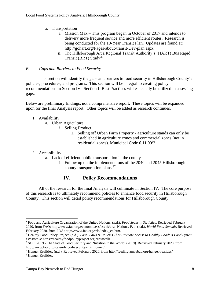- a. Transportation
	- i. Mission Max This program began in October of 2017 and intends to delivery more frequent service and more efficient routes. Research is being conducted for the 10-Year Transit Plan. Updates are found at: http://gohart.org/Pages/about-transit-Dev-plan.aspx
	- ii. The Hillsborough Area Regional Transit Authority's (HART) Bus Rapid Transit (BRT) Study<sup>35</sup>

## <span id="page-7-0"></span>*B. Gaps and Barriers to Food Security*

This section will identify the gaps and barriers to food security in Hillsborough County's policies, procedures, and programs. This section will be integral to creating policy recommendations in Section IV. Section II Best Practices will especially be utilized in assessing gaps.

Below are preliminary findings, not a comprehensive report. These topics will be expanded upon for the final Analysis report. Other topics will be added as research continues.

## 1. Availability

- a. Urban Agriculture
	- i. Selling Product
		- 1. Selling off Urban Farm Property agriculture stands can only be established in agriculture zones and commercial zones (not in residential zones). Municipal Code 6.11.09<sup>36</sup>

# 2. Accessibility

- a. Lack of efficient public transportation in the county
	- i. Follow up on the implementations of the 2040 and 2045 Hillsborough county transportation plans.<sup>37</sup>

# **IV. Policy Recommendations**

<span id="page-7-1"></span>All of the research for the final Analysis will culminate in Section IV. The core purpose of this research is to ultimately recommend policies to enhance food security in Hillsborough County. This section will detail policy recommendations for Hillsborough County.

<sup>&</sup>lt;sup>1</sup> Food and Agriculture Organization of the United Nations. (n.d.). *Food Security Statistics*. Retrieved February 2020, from FAO: http://www.fao.org/economic/ess/ess-fs/en/; Nations, F. a. (n.d.). *World Food Summit*. Retrieved February 2020, from FOA: http://www.fao.org/wfs/index\_en.htm.

<sup>2</sup> Healthy Food Policy Project. (n.d.). *Local Laws & Policies That Promote Access to Healthy Food: A Food System Crosswalk*: https://healthyfoodpolicyproject.org/crosswalk .

<sup>3</sup> SOFI 2019 - The State of Food Security and Nutrition in the World. (2019). Retrieved February 2020, from http://www.fao.org/state-of-food-security-nutrition/en/.

<sup>4</sup> Hunger Realities. (n.d.). Retrieved February 2020, from http://feedingtampabay.org/hunger-realities/.

<sup>5</sup> Hunger Realities.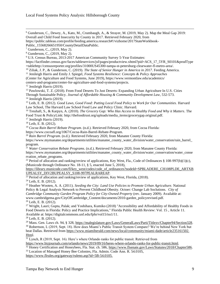<sup>6</sup> Gunderson, C., Dewey, A., Kato, M., Crumbaugh, A., & Strayer, M. (2019, May 2). Map the Meal Gap 2019: Overall and Child Food Insecurity by County in 2017. Retrieved February 2020, from

https://public.tableau.com/profile/feeding.america.research#!/vizhome/2017StateWorkbook-

Public\_15568266651950/CountyDetailDataPublic.

<sup>7</sup> Gunderson, C., (2019, May 2).

<sup>8</sup> Gunderson, C., (2019, May 2).

<sup>9</sup> U.S. Census Bureau, 2013-2017 American Community Survey 5-Year Estimates:

https://factfinder.census.gov/faces/tableservices/jsf/pages/productview.xhtml?pid=ACS\_17\_5YR\_S0101&prodType =tablehttp://censusreporter.org/profiles/31000US45300-tampa-st-petersburg-clearwater-fl-metro-area/.

<sup>10</sup> Ziliak, J. P., & Gunderson, C. (2019). *The State of Senior Hunger in America in 2017*. Feeding America.

<sup>11</sup> Jenileigh Harris and Emily J. Spiegel, *Food Systems Resilience: Concepts & Policy Approaches*

(Center for Agriculture and Food Systems, June 2019), https://www.vermontlaw.edu/academics/

centers-and-programs/center-for-agriculture-and-food-systems/projects.

<sup>12</sup> Jenileigh Harris (2019).

<sup>13</sup> Pawlowski, T. Z. (2018). From Food Deserts To Just Deserts: Expanding Urban Agriculture In U.S. Cities Through Sustainable Policy. *Journal of Affordable Housing & Community Development Law*, 532-573. <sup>14</sup> Jenileigh Harris (2019).

<sup>15</sup> Leib, E. B. (2012). *Good Laws, Good Food: Putting Local Food Policy to Work for Our Communities.* Harvard Law School, The Harvard Law School Food Law and Policy Clinic. Harvard.

<sup>16</sup> Treuhaft, S., & Karpyn, A. (2010). *The Grocery Gap: Who Has Access to Healthy Food and Why it Matters*. The Food Trust & PolicyLink: http://thefoodtrust.org/uploads/media\_items/grocerygap.original.pdf.

<sup>17</sup> Jenileigh Harris (2019).

<sup>18</sup> Leib, E. B. (2012).

<sup>19</sup> *Cocoa Rain Barrel Rebate Program*. (n.d.). Retrieved February 2020, from Cocoa Florida:

https://www.cocoafl.org/1067/Cocoa-Rain-Barrel-Rebate-Program.

<sup>20</sup> *Rain Barrel Program*. (n.d.). Retrieved February 2020, from Manatee County Florida:

https://www.mymanatee.org/departments/utilities/manatee\_county\_water\_division/water\_conservation/rain\_barrel\_ program.

<sup>21</sup> *Water Conservation Rebate Programs*. (n.d.). Retrieved February 2020, from Manatee County Florida:

https://www.mymanatee.org/departments/utilities/manatee\_county\_water\_division/water\_conservation/water\_conse rvation rebate programs.

<sup>22</sup> Period of allocation and ranking/review of applications, Key West, Fla., Code of Ordinances § 108-997(b)(1)(c), (Municode through Ordinance No. 18-11, § 5, enacted June 5, 2018),

https://library.municode.com/fl/key\_west/codes/code\_of\_ordinances?nodeId=SPBLADERE\_CH108PLDE\_ARTXB UPEALSY\_DIV2BUPEALSY\_S108-997PEALRAREAP.

<sup>23</sup> Period of allocation and ranking/review of applications, Key West, Florida, (2018).

<sup>24</sup> Leib, E. B. (2012).

<sup>25</sup> Heather Wooten, A. A. (2011). *Seeding the City: Land Use Policies to Promote Urban Agriculture.* National Policy & Legal Analysis Network to Prevent Childhood Obesity. Octoer: Change Lab Soclutions. *City of Cambridge Community Garden Program Policy for City-Owned Property* (rev. January 2009). Available at: www.cambridgema.gov/CityOfCambridge\_Content/documents/2010-garden\_policyrevised.pdf. <sup>26</sup> Leib, E. B. (2012).

<sup>27</sup> Wright, Lauri; Gupta, Palak; and Yoshihara, Kumiko (2018) "Accessibility and Affordability of Healthy Foods in Food Deserts in Florida: Policy and Practice Implications," Florida Public Health Review: Vol. 15 , Article 11. Available at: https://digitalcommons.unf.edu/fphr/vol15/iss1/11.

<sup>28</sup> Leib, E. B. (2012).

<sup>29</sup> Mass. Gen. Laws ch. 94, § 328, https://malegislature.gov/Laws/GeneralLaws/Parti/Titlexy/Chapter94/Section328. <sup>30</sup> Robertson, L (2019, Sept. 18). How does Miami's Public Transit System Compare? We're behind New York but beat Dallas. Retrieved from https://www.miamiherald.com/news/local/community/miami-dade/article235161502. Html.

 $31$  Lynch, R (2019, Sept. 16). Here's where Orlando ranks for public transit. Retrieved from

https://www.bizjournals.com/orlando/news/2019/09/16/heres-where-orlando-ranks-for-public-transit.html. <sup>32</sup> Honey Certification and Honeybees, Fla. Stat. ch. 586, https://www.flsenate.gov/Laws/Statutes/2018/Chapter586.

<sup>33</sup> Location of Managed Honey Bee Colonies, Fla. Admin. Code Ann. R. 54.0105,

[https://www.flrules.org/gateway/ruleno.asp?id=5B-54.0105.](https://www.flrules.org/gateway/ruleno.asp?id=5B-54.0105)